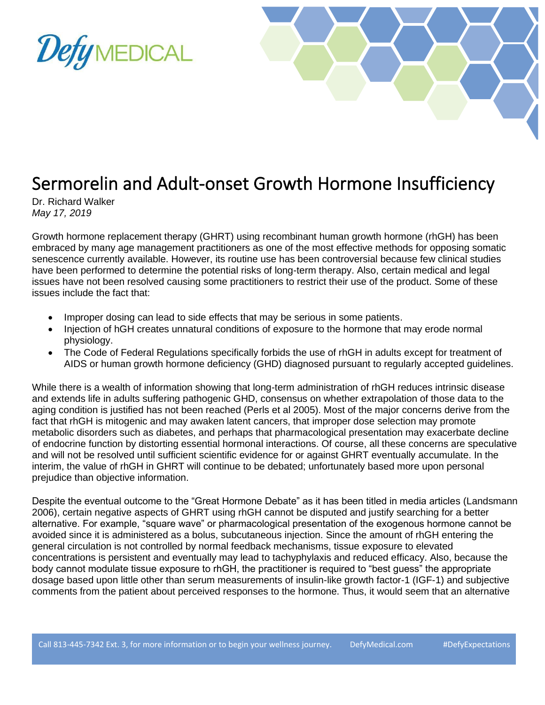



## Sermorelin and Adult-onset Growth Hormone Insufficiency

Dr. Richard Walker *May 17, 2019*

Growth hormone replacement therapy (GHRT) using recombinant human growth hormone (rhGH) has been embraced by many age management practitioners as one of the most effective methods for opposing somatic senescence currently available. However, its routine use has been controversial because few clinical studies have been performed to determine the potential risks of long-term therapy. Also, certain medical and legal issues have not been resolved causing some practitioners to restrict their use of the product. Some of these issues include the fact that:

- Improper dosing can lead to side effects that may be serious in some patients.
- Injection of hGH creates unnatural conditions of exposure to the hormone that may erode normal physiology.
- The Code of Federal Regulations specifically forbids the use of rhGH in adults except for treatment of AIDS or human growth hormone deficiency (GHD) diagnosed pursuant to regularly accepted guidelines.

While there is a wealth of information showing that long-term administration of rhGH reduces intrinsic disease and extends life in adults suffering pathogenic GHD, consensus on whether extrapolation of those data to the aging condition is justified has not been reached (Perls et al 2005). Most of the major concerns derive from the fact that rhGH is mitogenic and may awaken latent cancers, that improper dose selection may promote metabolic disorders such as diabetes, and perhaps that pharmacological presentation may exacerbate decline of endocrine function by distorting essential hormonal interactions. Of course, all these concerns are speculative and will not be resolved until sufficient scientific evidence for or against GHRT eventually accumulate. In the interim, the value of rhGH in GHRT will continue to be debated; unfortunately based more upon personal prejudice than objective information.

Despite the eventual outcome to the "Great Hormone Debate" as it has been titled in media articles (Landsmann 2006), certain negative aspects of GHRT using rhGH cannot be disputed and justify searching for a better alternative. For example, "square wave" or pharmacological presentation of the exogenous hormone cannot be avoided since it is administered as a bolus, subcutaneous injection. Since the amount of rhGH entering the general circulation is not controlled by normal feedback mechanisms, tissue exposure to elevated concentrations is persistent and eventually may lead to tachyphylaxis and reduced efficacy. Also, because the body cannot modulate tissue exposure to rhGH, the practitioner is required to "best guess" the appropriate dosage based upon little other than serum measurements of insulin-like growth factor-1 (IGF-1) and subjective comments from the patient about perceived responses to the hormone. Thus, it would seem that an alternative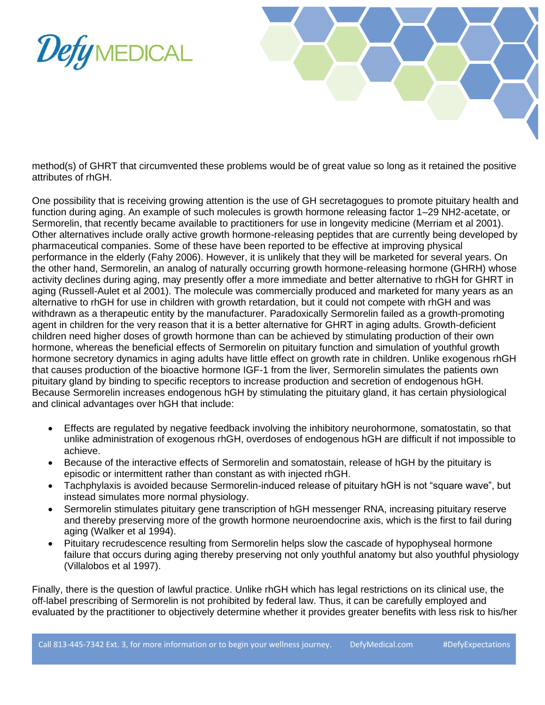



method(s) of GHRT that circumvented these problems would be of great value so long as it retained the positive attributes of rhGH.

One possibility that is receiving growing attention is the use of GH secretagogues to promote pituitary health and function during aging. An example of such molecules is growth hormone releasing factor 1–29 NH2-acetate, or Sermorelin, that recently became available to practitioners for use in longevity medicine (Merriam et al 2001). Other alternatives include orally active growth hormone-releasing peptides that are currently being developed by pharmaceutical companies. Some of these have been reported to be effective at improving physical performance in the elderly (Fahy 2006). However, it is unlikely that they will be marketed for several years. On the other hand, Sermorelin, an analog of naturally occurring growth hormone-releasing hormone (GHRH) whose activity declines during aging, may presently offer a more immediate and better alternative to rhGH for GHRT in aging (Russell-Aulet et al 2001). The molecule was commercially produced and marketed for many years as an alternative to rhGH for use in children with growth retardation, but it could not compete with rhGH and was withdrawn as a therapeutic entity by the manufacturer. Paradoxically Sermorelin failed as a growth-promoting agent in children for the very reason that it is a better alternative for GHRT in aging adults. Growth-deficient children need higher doses of growth hormone than can be achieved by stimulating production of their own hormone, whereas the beneficial effects of Sermorelin on pituitary function and simulation of youthful growth hormone secretory dynamics in aging adults have little effect on growth rate in children. Unlike exogenous rhGH that causes production of the bioactive hormone IGF-1 from the liver, Sermorelin simulates the patients own pituitary gland by binding to specific receptors to increase production and secretion of endogenous hGH. Because Sermorelin increases endogenous hGH by stimulating the pituitary gland, it has certain physiological and clinical advantages over hGH that include:

- Effects are regulated by negative feedback involving the inhibitory neurohormone, somatostatin, so that unlike administration of exogenous rhGH, overdoses of endogenous hGH are difficult if not impossible to achieve.
- Because of the interactive effects of Sermorelin and somatostain, release of hGH by the pituitary is episodic or intermittent rather than constant as with injected rhGH.
- Tachphylaxis is avoided because Sermorelin-induced release of pituitary hGH is not "square wave", but instead simulates more normal physiology.
- Sermorelin stimulates pituitary gene transcription of hGH messenger RNA, increasing pituitary reserve and thereby preserving more of the growth hormone neuroendocrine axis, which is the first to fail during aging (Walker et al 1994).
- Pituitary recrudescence resulting from Sermorelin helps slow the cascade of hypophyseal hormone failure that occurs during aging thereby preserving not only youthful anatomy but also youthful physiology (Villalobos et al 1997).

Finally, there is the question of lawful practice. Unlike rhGH which has legal restrictions on its clinical use, the off-label prescribing of Sermorelin is not prohibited by federal law. Thus, it can be carefully employed and evaluated by the practitioner to objectively determine whether it provides greater benefits with less risk to his/her